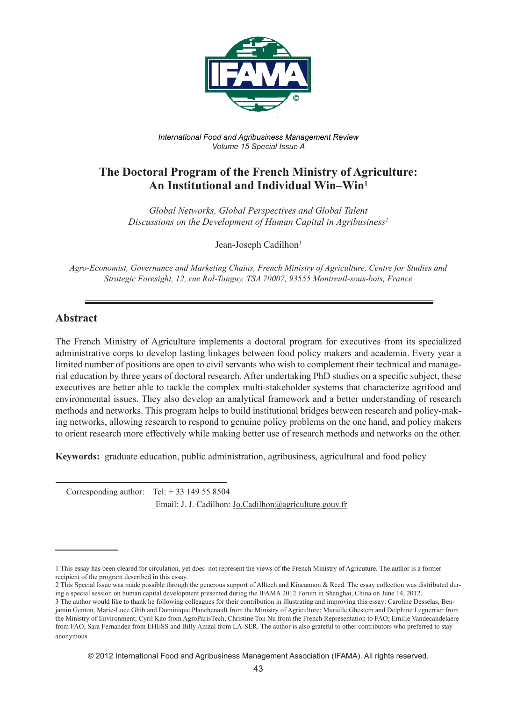

*International Food and Agribusiness Management Review Volume 15 Special Issue A*

# **The Doctoral Program of the French Ministry of Agriculture: An Institutional and Individual Win–Win1**

*Global Networks, Global Perspectives and Global Talent Discussions on the Development of Human Capital in Agribusiness2*

Jean-Joseph Cadilhon3

*Agro-Economist, Governance and Marketing Chains, French Ministry of Agriculture, Centre for Studies and Strategic Foresight, 12, rue Rol-Tanguy, TSA 70007, 93555 Montreuil-sous-bois, France*

### **Abstract**

The French Ministry of Agriculture implements a doctoral program for executives from its specialized administrative corps to develop lasting linkages between food policy makers and academia. Every year a limited number of positions are open to civil servants who wish to complement their technical and managerial education by three years of doctoral research. After undertaking PhD studies on a specific subject, these executives are better able to tackle the complex multi-stakeholder systems that characterize agrifood and environmental issues. They also develop an analytical framework and a better understanding of research methods and networks. This program helps to build institutional bridges between research and policy-making networks, allowing research to respond to genuine policy problems on the one hand, and policy makers to orient research more effectively while making better use of research methods and networks on the other.

**Keywords:** graduate education, public administration, agribusiness, agricultural and food policy

Corresponding author: Tel:  $+33$  149 55 8504 Email: J. J. Cadilhon: Jo.Cadilhon@agriculture.gouv.fr

© 2012 International Food and Agribusiness Management Association (IFAMA). All rights reserved.

<sup>1</sup> This essay has been cleared for circulation, yet does not represent the views of the French Ministry of Agricuture. The author is a former recipient of the program described in this essay.

<sup>2</sup> This Special Issue was made possible through the generous support of Alltech and Kincannon & Reed. The essay collection was distributed during a special session on human capital development presented during the IFAMA 2012 Forum in Shanghai, China on June 14, 2012.

<sup>3</sup> The author would like to thank he following colleagues for their contribution in illustrating and improving this essay: Caroline Desselas, Benjamin Genton, Marie-Luce Ghib and Dominique Planchenault from the Ministry of Agriculture; Murielle Ghestem and Delphine Leguerrier from the Ministry of Environment; Cyril Kao from AgroParisTech, Christine Ton Nu from the French Representation to FAO; Emilie Vandecandelaere from FAO, Sara Fernandez from EHESS and Billy Amzal from LA-SER. The author is also grateful to other contributors who preferred to stay anonymous.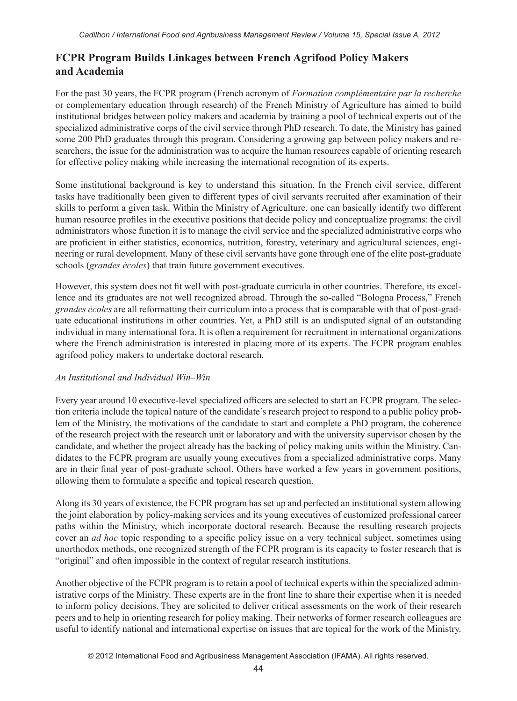## **FCPR Program Builds Linkages between French Agrifood Policy Makers and Academia**

For the past 30 years, the FCPR program (French acronym of *Formation complémentaire par la recherche* or complementary education through research) of the French Ministry of Agriculture has aimed to build institutional bridges between policy makers and academia by training a pool of technical experts out of the specialized administrative corps of the civil service through PhD research. To date, the Ministry has gained some 200 PhD graduates through this program. Considering a growing gap between policy makers and researchers, the issue for the administration was to acquire the human resources capable of orienting research for effective policy making while increasing the international recognition of its experts.

Some institutional background is key to understand this situation. In the French civil service, different tasks have traditionally been given to different types of civil servants recruited after examination of their skills to perform a given task. Within the Ministry of Agriculture, one can basically identify two different human resource profiles in the executive positions that decide policy and conceptualize programs: the civil administrators whose function it is to manage the civil service and the specialized administrative corps who are proficient in either statistics, economics, nutrition, forestry, veterinary and agricultural sciences, engineering or rural development. Many of these civil servants have gone through one of the elite post-graduate schools (*grandes écoles*) that train future government executives.

However, this system does not fit well with post-graduate curricula in other countries. Therefore, its excellence and its graduates are not well recognized abroad. Through the so-called "Bologna Process," French *grandes écoles* are all reformatting their curriculum into a process that is comparable with that of post-graduate educational institutions in other countries. Yet, a PhD still is an undisputed signal of an outstanding individual in many international fora. It is often a requirement for recruitment in international organizations where the French administration is interested in placing more of its experts. The FCPR program enables agrifood policy makers to undertake doctoral research.

#### *An Institutional and Individual Win–Win*

Every year around 10 executive-level specialized officers are selected to start an FCPR program. The selection criteria include the topical nature of the candidate's research project to respond to a public policy problem of the Ministry, the motivations of the candidate to start and complete a PhD program, the coherence of the research project with the research unit or laboratory and with the university supervisor chosen by the candidate, and whether the project already has the backing of policy making units within the Ministry. Candidates to the FCPR program are usually young executives from a specialized administrative corps. Many are in their final year of post-graduate school. Others have worked a few years in government positions, allowing them to formulate a specific and topical research question.

Along its 30 years of existence, the FCPR program has set up and perfected an institutional system allowing the joint elaboration by policy-making services and its young executives of customized professional career paths within the Ministry, which incorporate doctoral research. Because the resulting research projects cover an *ad hoc* topic responding to a specific policy issue on a very technical subject, sometimes using unorthodox methods, one recognized strength of the FCPR program is its capacity to foster research that is "original" and often impossible in the context of regular research institutions.

Another objective of the FCPR program is to retain a pool of technical experts within the specialized administrative corps of the Ministry. These experts are in the front line to share their expertise when it is needed to inform policy decisions. They are solicited to deliver critical assessments on the work of their research peers and to help in orienting research for policy making. Their networks of former research colleagues are useful to identify national and international expertise on issues that are topical for the work of the Ministry.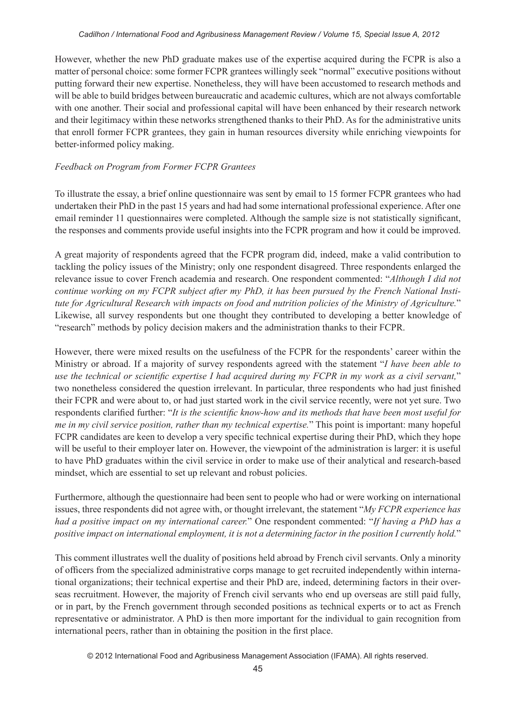However, whether the new PhD graduate makes use of the expertise acquired during the FCPR is also a matter of personal choice: some former FCPR grantees willingly seek "normal" executive positions without putting forward their new expertise. Nonetheless, they will have been accustomed to research methods and will be able to build bridges between bureaucratic and academic cultures, which are not always comfortable with one another. Their social and professional capital will have been enhanced by their research network and their legitimacy within these networks strengthened thanks to their PhD. As for the administrative units that enroll former FCPR grantees, they gain in human resources diversity while enriching viewpoints for better-informed policy making.

#### *Feedback on Program from Former FCPR Grantees*

To illustrate the essay, a brief online questionnaire was sent by email to 15 former FCPR grantees who had undertaken their PhD in the past 15 years and had had some international professional experience. After one email reminder 11 questionnaires were completed. Although the sample size is not statistically significant, the responses and comments provide useful insights into the FCPR program and how it could be improved.

A great majority of respondents agreed that the FCPR program did, indeed, make a valid contribution to tackling the policy issues of the Ministry; only one respondent disagreed. Three respondents enlarged the relevance issue to cover French academia and research. One respondent commented: "*Although I did not continue working on my FCPR subject after my PhD, it has been pursued by the French National Institute for Agricultural Research with impacts on food and nutrition policies of the Ministry of Agriculture.*" Likewise, all survey respondents but one thought they contributed to developing a better knowledge of "research" methods by policy decision makers and the administration thanks to their FCPR.

However, there were mixed results on the usefulness of the FCPR for the respondents' career within the Ministry or abroad. If a majority of survey respondents agreed with the statement "*I have been able to use the technical or scientific expertise I had acquired during my FCPR in my work as a civil servant,*" two nonetheless considered the question irrelevant. In particular, three respondents who had just finished their FCPR and were about to, or had just started work in the civil service recently, were not yet sure. Two respondents clarified further: "*It is the scientific know-how and its methods that have been most useful for me in my civil service position, rather than my technical expertise.*" This point is important: many hopeful FCPR candidates are keen to develop a very specific technical expertise during their PhD, which they hope will be useful to their employer later on. However, the viewpoint of the administration is larger: it is useful to have PhD graduates within the civil service in order to make use of their analytical and research-based mindset, which are essential to set up relevant and robust policies.

Furthermore, although the questionnaire had been sent to people who had or were working on international issues, three respondents did not agree with, or thought irrelevant, the statement "*My FCPR experience has had a positive impact on my international career.*" One respondent commented: "*If having a PhD has a positive impact on international employment, it is not a determining factor in the position I currently hold.*"

This comment illustrates well the duality of positions held abroad by French civil servants. Only a minority of officers from the specialized administrative corps manage to get recruited independently within international organizations; their technical expertise and their PhD are, indeed, determining factors in their overseas recruitment. However, the majority of French civil servants who end up overseas are still paid fully, or in part, by the French government through seconded positions as technical experts or to act as French representative or administrator. A PhD is then more important for the individual to gain recognition from international peers, rather than in obtaining the position in the first place.